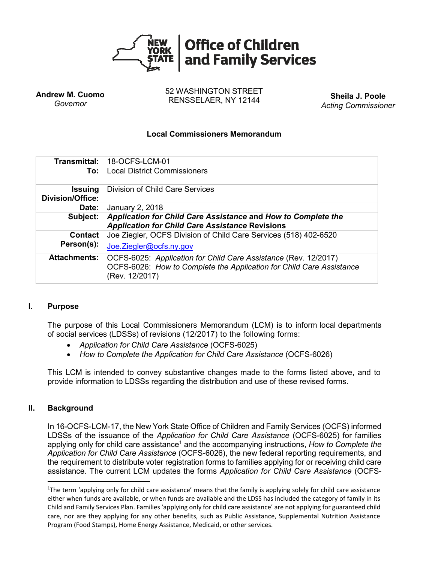

**Andrew M. Cuomo** *Governor*

52 WASHINGTON STREET RENSSELAER, NY 12144 **Sheila J. Poole**

*Acting Commissioner*

# **Local Commissioners Memorandum**

| Transmittal: I                            | 18-OCFS-LCM-01                                                                                                                                            |
|-------------------------------------------|-----------------------------------------------------------------------------------------------------------------------------------------------------------|
| To:                                       | <b>Local District Commissioners</b>                                                                                                                       |
| <b>Issuing</b><br><b>Division/Office:</b> | Division of Child Care Services                                                                                                                           |
| Date:                                     | January 2, 2018                                                                                                                                           |
| Subject:                                  | Application for Child Care Assistance and How to Complete the<br><b>Application for Child Care Assistance Revisions</b>                                   |
| <b>Contact</b><br>Person(s):              | Joe Ziegler, OCFS Division of Child Care Services (518) 402-6520<br>Joe.Ziegler@ocfs.ny.gov                                                               |
| <b>Attachments:</b>                       | OCFS-6025: Application for Child Care Assistance (Rev. 12/2017)<br>OCFS-6026: How to Complete the Application for Child Care Assistance<br>(Rev. 12/2017) |

# **I. Purpose**

The purpose of this Local Commissioners Memorandum (LCM) is to inform local departments of social services (LDSSs) of revisions (12/2017) to the following forms:

- *Application for Child Care Assistance* (OCFS-6025)
- *How to Complete the Application for Child Care Assistance* (OCFS-6026)

This LCM is intended to convey substantive changes made to the forms listed above, and to provide information to LDSSs regarding the distribution and use of these revised forms.

# **II. Background**

 $\overline{a}$ 

In 16-OCFS-LCM-17, the New York State Office of Children and Family Services (OCFS) informed LDSSs of the issuance of the *Application for Child Care Assistance* (OCFS-6025) for families applying only for child care assistance<sup>1</sup> and the accompanying instructions, *How to Complete the Application for Child Care Assistance* (OCFS-6026), the new federal reporting requirements, and the requirement to distribute voter registration forms to families applying for or receiving child care assistance. The current LCM updates the forms *Application for Child Care Assistance* (OCFS-

<sup>&</sup>lt;sup>1</sup>The term 'applying only for child care assistance' means that the family is applying solely for child care assistance either when funds are available, or when funds are available and the LDSS has included the category of family in its Child and Family Services Plan. Families 'applying only for child care assistance' are not applying for guaranteed child care, nor are they applying for any other benefits, such as Public Assistance, Supplemental Nutrition Assistance Program (Food Stamps), Home Energy Assistance, Medicaid, or other services.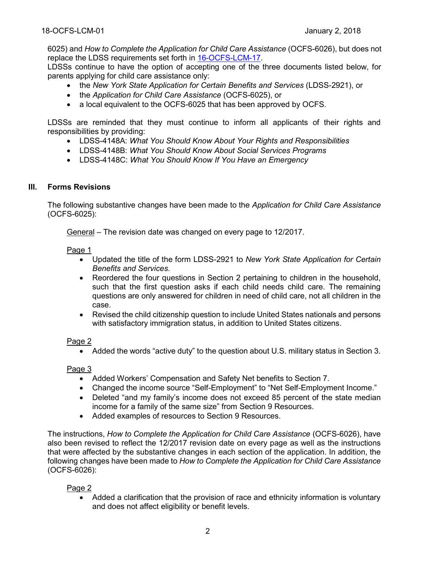6025) and *How to Complete the Application for Child Care Assistance* (OCFS-6026), but does not replace the LDSS requirements set forth in [16-OCFS-LCM-17.](http://ocfs.ny.gov/main/policies/external/OCFS_2016/LCMs/16-OCFS-LCM-17.pdf)

LDSSs continue to have the option of accepting one of the three documents listed below, for parents applying for child care assistance only:

- the *New York State Application for Certain Benefits and Services* (LDSS-2921), or
- the *Application for Child Care Assistance* (OCFS-6025), or
- a local equivalent to the OCFS-6025 that has been approved by OCFS.

LDSSs are reminded that they must continue to inform all applicants of their rights and responsibilities by providing:

- LDSS-4148A: *What You Should Know About Your Rights and Responsibilities*
- LDSS-4148B: *What You Should Know About Social Services Programs*
- LDSS-4148C: *What You Should Know If You Have an Emergency*

### **III. Forms Revisions**

The following substantive changes have been made to the *Application for Child Care Assistance* (OCFS-6025):

General – The revision date was changed on every page to 12/2017.

Page 1

- Updated the title of the form LDSS-2921 to *New York State Application for Certain Benefits and Services*.
- Reordered the four questions in Section 2 pertaining to children in the household, such that the first question asks if each child needs child care. The remaining questions are only answered for children in need of child care, not all children in the case.
- Revised the child citizenship question to include United States nationals and persons with satisfactory immigration status, in addition to United States citizens.

### Page 2

Added the words "active duty" to the question about U.S. military status in Section 3.

### Page 3

- Added Workers' Compensation and Safety Net benefits to Section 7.
- Changed the income source "Self-Employment" to "Net Self-Employment Income."
- Deleted "and my family's income does not exceed 85 percent of the state median income for a family of the same size" from Section 9 Resources.
- Added examples of resources to Section 9 Resources.

The instructions, *How to Complete the Application for Child Care Assistance* (OCFS-6026), have also been revised to reflect the 12/2017 revision date on every page as well as the instructions that were affected by the substantive changes in each section of the application. In addition, the following changes have been made to *How to Complete the Application for Child Care Assistance* (OCFS-6026):

### Page 2

 Added a clarification that the provision of race and ethnicity information is voluntary and does not affect eligibility or benefit levels.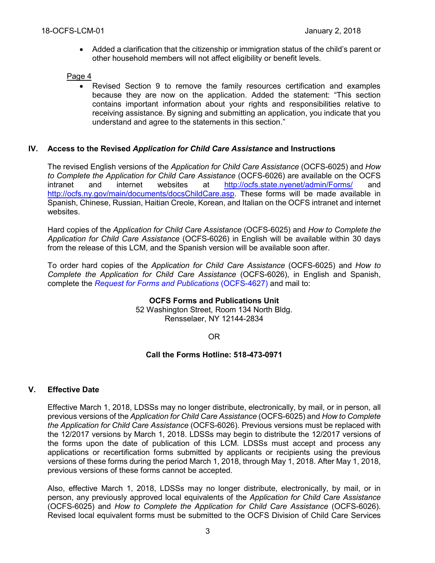Added a clarification that the citizenship or immigration status of the child's parent or other household members will not affect eligibility or benefit levels.

## Page 4

 Revised Section 9 to remove the family resources certification and examples because they are now on the application. Added the statement: "This section contains important information about your rights and responsibilities relative to receiving assistance. By signing and submitting an application, you indicate that you understand and agree to the statements in this section."

## **IV. Access to the Revised** *Application for Child Care Assistance* **and Instructions**

The revised English versions of the *Application for Child Care Assistance* (OCFS-6025) and *How to Complete the Application for Child Care Assistance* (OCFS-6026) are available on the OCFS intranet and internet websites at <http://ocfs.state.nyenet/admin/Forms/> and [http://ocfs.ny.gov/main/documents/docsChildCare.asp.](http://ocfs.ny.gov/main/documents/docsChildCare.asp) These forms will be made available in Spanish, Chinese, Russian, Haitian Creole, Korean, and Italian on the OCFS intranet and internet websites.

Hard copies of the *Application for Child Care Assistance* (OCFS-6025) and *How to Complete the Application for Child Care Assistance* (OCFS-6026) in English will be available within 30 days from the release of this LCM, and the Spanish version will be available soon after.

To order hard copies of the *Application for Child Care Assistance* (OCFS-6025) and *How to Complete the Application for Child Care Assistance* (OCFS-6026), in English and Spanish, complete the *[Request for Forms and Publications](http://ocfs.ny.gov/main/Forms/Management_Services/OCFS-4627%20Request%20for%20Forms%20and%20Publications.dot)* (OCFS-4627) and mail to:

> **OCFS Forms and Publications Unit** 52 Washington Street, Room 134 North Bldg. Rensselaer, NY 12144-2834

> > OR

### **Call the Forms Hotline: 518-473-0971**

# **V. Effective Date**

Effective March 1, 2018, LDSSs may no longer distribute, electronically, by mail, or in person, all previous versions of the *Application for Child Care Assistance* (OCFS-6025) and *How to Complete the Application for Child Care Assistance* (OCFS-6026). Previous versions must be replaced with the 12/2017 versions by March 1, 2018. LDSSs may begin to distribute the 12/2017 versions of the forms upon the date of publication of this LCM. LDSSs must accept and process any applications or recertification forms submitted by applicants or recipients using the previous versions of these forms during the period March 1, 2018, through May 1, 2018. After May 1, 2018, previous versions of these forms cannot be accepted.

Also, effective March 1, 2018, LDSSs may no longer distribute, electronically, by mail, or in person, any previously approved local equivalents of the *Application for Child Care Assistance* (OCFS-6025) and *How to Complete the Application for Child Care Assistance* (OCFS-6026). Revised local equivalent forms must be submitted to the OCFS Division of Child Care Services